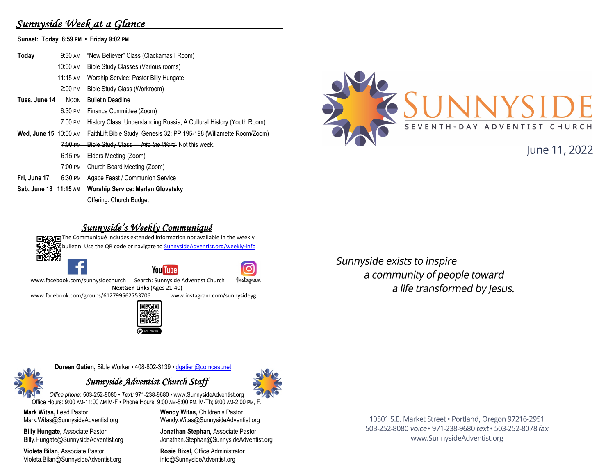## *Sunnyside Week at a Glance*

**Sunset: Today 8:59 PM • Friday 9:02 PM**

**Today** 9:30 AM "New Believer" Class (Clackamas I Room) 10:00 AM Bible Study Classes (Various rooms) 11:15 AM Worship Service: Pastor Billy Hungate 2:00 PM Bible Study Class (Workroom) **Tues, June 14** NOON Bulletin Deadline 6:30 PM Finance Committee (Zoom) 7:00 PM History Class: Understanding Russia, A Cultural History (Youth Room) **Wed, June 15** 10:00 AM FaithLift Bible Study: Genesis 32; PP 195-198 (Willamette Room/Zoom) 7:00 PM Bible Study Class — *Into the Word* Not this week. 6:15 PM Elders Meeting (Zoom) 7:00 PM Church Board Meeting (Zoom) **Fri, June 17** 6:30 PM Agape Feast / Communion Service **Sab, June 18 11:15 AM Worship Service: Marlan Glovatsky** Offering: Church Budget



# lune 11, 2022

#### *Sunnyside's Weekly Communiqué*

The Communiqué includes extended information not available in the weekly bulletin. Use the QR code or navigate to **SunnysideAdventist.org/weekly-info** Ŏŵ. ō **You Tube** Instagram www.facebook.com/sunnysidechurch Search: Sunnyside Adventist Church

**NextGen Links** (Ages 21-40)<br>2799562753706 www.instagram.com/sunnysidevg [www.facebook.com/groups/612799562753706](https://www.facebook.com/groups/612799562753706)



Sunnyside exists to inspire a community of people toward a life transformed by Jesus.

**Doreen Gatien,** Bible Worker • 408-802-3139 • [dgatien@comcast.net](mailto:dgatien@comcast.net)

#### *Sunnyside Adventist Church Staff*



**Mark Witas,** Lead Pastor Mark.Witas@SunnysideAdventist.org

**Billy Hungate,** Associate Pastor Billy.Hungate@SunnysideAdventist.org

**Violeta Bilan,** Associate Pastor Violeta.Bilan@SunnysideAdventist.org **Wendy Witas,** Children's Pastor Wendy.Witas@SunnysideAdventist.org

**Jonathan Stephan,** Associate Pastor Jonathan.Stephan@SunnysideAdventist.org

**Rosie Bixel,** Office Administrator info@SunnysideAdventist.org

10501 S.E. Market Street · Portland, Oregon 97216-2951 503-252-8080 voice · 971-238-9680 text · 503-252-8078 fax www.SunnysideAdventist.org